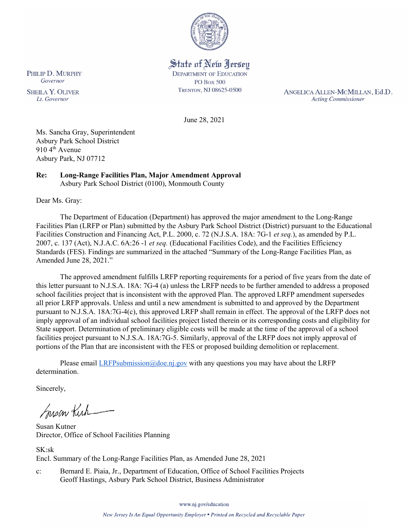

State of New Jersey **DEPARTMENT OF EDUCATION PO Box 500** TRENTON, NJ 08625-0500

ANGELICA ALLEN-MCMILLAN, Ed.D. **Acting Commissioner** 

June 28, 2021

Ms. Sancha Gray, Superintendent Asbury Park School District 910 4<sup>th</sup> Avenue Asbury Park, NJ 07712

#### **Re: Long-Range Facilities Plan, Major Amendment Approval**  Asbury Park School District (0100), Monmouth County

Dear Ms. Gray:

The Department of Education (Department) has approved the major amendment to the Long-Range Facilities Plan (LRFP or Plan) submitted by the Asbury Park School District (District) pursuant to the Educational Facilities Construction and Financing Act, P.L. 2000, c. 72 (N.J.S.A. 18A: 7G-1 *et seq.*), as amended by P.L. 2007, c. 137 (Act), N.J.A.C. 6A:26 -1 *et seq.* (Educational Facilities Code), and the Facilities Efficiency Standards (FES). Findings are summarized in the attached "Summary of the Long-Range Facilities Plan, as Amended June 28, 2021."

The approved amendment fulfills LRFP reporting requirements for a period of five years from the date of this letter pursuant to N.J.S.A. 18A: 7G-4 (a) unless the LRFP needs to be further amended to address a proposed school facilities project that is inconsistent with the approved Plan. The approved LRFP amendment supersedes all prior LRFP approvals. Unless and until a new amendment is submitted to and approved by the Department pursuant to N.J.S.A. 18A:7G-4(c), this approved LRFP shall remain in effect. The approval of the LRFP does not imply approval of an individual school facilities project listed therein or its corresponding costs and eligibility for State support. Determination of preliminary eligible costs will be made at the time of the approval of a school facilities project pursuant to N.J.S.A. 18A:7G-5. Similarly, approval of the LRFP does not imply approval of portions of the Plan that are inconsistent with the FES or proposed building demolition or replacement.

Please email  $LRFP submission@doe.nj.gov$  with any questions you may have about the LRFP determination.

Sincerely,

Susan Kich

Susan Kutner Director, Office of School Facilities Planning

SK:sk Encl. Summary of the Long-Range Facilities Plan, as Amended June 28, 2021

c: Bernard E. Piaia, Jr., Department of Education, Office of School Facilities Projects Geoff Hastings, Asbury Park School District, Business Administrator

PHILIP D. MURPHY Governor

**SHEILA Y. OLIVER** Lt. Governor

www.nj.gov/education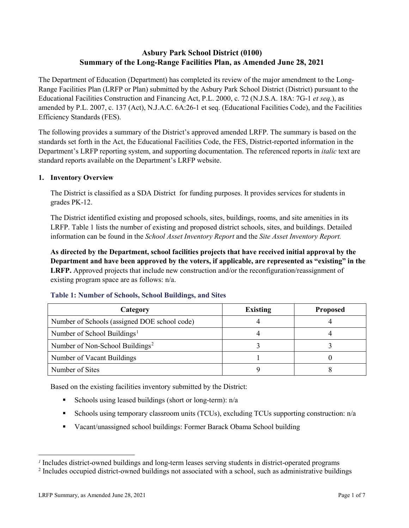# **Asbury Park School District (0100) Summary of the Long-Range Facilities Plan, as Amended June 28, 2021**

The Department of Education (Department) has completed its review of the major amendment to the Long-Range Facilities Plan (LRFP or Plan) submitted by the Asbury Park School District (District) pursuant to the Educational Facilities Construction and Financing Act, P.L. 2000, c. 72 (N.J.S.A. 18A: 7G-1 *et seq.*), as amended by P.L. 2007, c. 137 (Act), N.J.A.C. 6A:26-1 et seq. (Educational Facilities Code), and the Facilities Efficiency Standards (FES).

The following provides a summary of the District's approved amended LRFP. The summary is based on the standards set forth in the Act, the Educational Facilities Code, the FES, District-reported information in the Department's LRFP reporting system, and supporting documentation. The referenced reports in *italic* text are standard reports available on the Department's LRFP website.

#### **1. Inventory Overview**

The District is classified as a SDA District for funding purposes. It provides services for students in grades PK-12.

The District identified existing and proposed schools, sites, buildings, rooms, and site amenities in its LRFP. Table 1 lists the number of existing and proposed district schools, sites, and buildings. Detailed information can be found in the *School Asset Inventory Report* and the *Site Asset Inventory Report.*

**As directed by the Department, school facilities projects that have received initial approval by the Department and have been approved by the voters, if applicable, are represented as "existing" in the LRFP.** Approved projects that include new construction and/or the reconfiguration/reassignment of existing program space are as follows: n/a.

| Category                                     | <b>Existing</b> | <b>Proposed</b> |
|----------------------------------------------|-----------------|-----------------|
| Number of Schools (assigned DOE school code) |                 |                 |
| Number of School Buildings <sup>1</sup>      |                 |                 |
| Number of Non-School Buildings <sup>2</sup>  |                 |                 |
| Number of Vacant Buildings                   |                 |                 |
| Number of Sites                              |                 |                 |

#### **Table 1: Number of Schools, School Buildings, and Sites**

Based on the existing facilities inventory submitted by the District:

- Schools using leased buildings (short or long-term):  $n/a$
- Schools using temporary classroom units (TCUs), excluding TCUs supporting construction:  $n/a$
- Vacant/unassigned school buildings: Former Barack Obama School building

 $\overline{a}$ 

<span id="page-1-1"></span><span id="page-1-0"></span>*<sup>1</sup>* Includes district-owned buildings and long-term leases serving students in district-operated programs

<sup>&</sup>lt;sup>2</sup> Includes occupied district-owned buildings not associated with a school, such as administrative buildings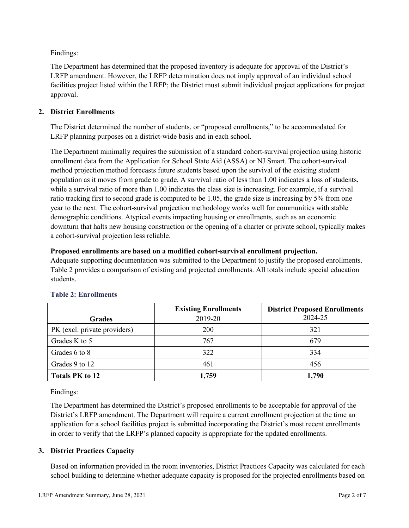Findings:

The Department has determined that the proposed inventory is adequate for approval of the District's LRFP amendment. However, the LRFP determination does not imply approval of an individual school facilities project listed within the LRFP; the District must submit individual project applications for project approval.

# **2. District Enrollments**

The District determined the number of students, or "proposed enrollments," to be accommodated for LRFP planning purposes on a district-wide basis and in each school.

The Department minimally requires the submission of a standard cohort-survival projection using historic enrollment data from the Application for School State Aid (ASSA) or NJ Smart. The cohort-survival method projection method forecasts future students based upon the survival of the existing student population as it moves from grade to grade. A survival ratio of less than 1.00 indicates a loss of students, while a survival ratio of more than 1.00 indicates the class size is increasing. For example, if a survival ratio tracking first to second grade is computed to be 1.05, the grade size is increasing by 5% from one year to the next. The cohort-survival projection methodology works well for communities with stable demographic conditions. Atypical events impacting housing or enrollments, such as an economic downturn that halts new housing construction or the opening of a charter or private school, typically makes a cohort-survival projection less reliable.

#### **Proposed enrollments are based on a modified cohort-survival enrollment projection.**

Adequate supporting documentation was submitted to the Department to justify the proposed enrollments. Table 2 provides a comparison of existing and projected enrollments. All totals include special education students.

|                              | <b>Existing Enrollments</b> | <b>District Proposed Enrollments</b> |
|------------------------------|-----------------------------|--------------------------------------|
| <b>Grades</b>                | 2019-20                     | 2024-25                              |
| PK (excl. private providers) | 200                         | 321                                  |
| Grades K to 5                | 767                         | 679                                  |
| Grades 6 to 8                | 322                         | 334                                  |
| Grades 9 to 12               | 461                         | 456                                  |
| <b>Totals PK to 12</b>       | 1,759                       | 1,790                                |

# **Table 2: Enrollments**

Findings:

The Department has determined the District's proposed enrollments to be acceptable for approval of the District's LRFP amendment. The Department will require a current enrollment projection at the time an application for a school facilities project is submitted incorporating the District's most recent enrollments in order to verify that the LRFP's planned capacity is appropriate for the updated enrollments.

# **3. District Practices Capacity**

Based on information provided in the room inventories, District Practices Capacity was calculated for each school building to determine whether adequate capacity is proposed for the projected enrollments based on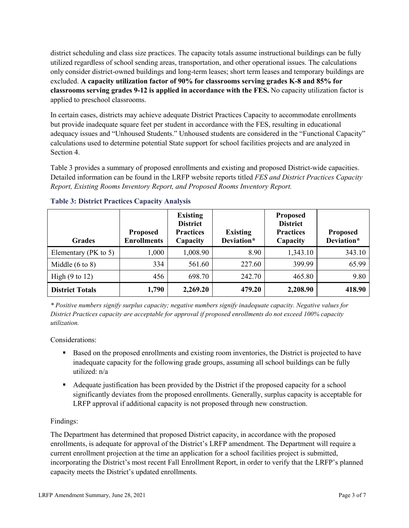district scheduling and class size practices. The capacity totals assume instructional buildings can be fully utilized regardless of school sending areas, transportation, and other operational issues. The calculations only consider district-owned buildings and long-term leases; short term leases and temporary buildings are excluded. **A capacity utilization factor of 90% for classrooms serving grades K-8 and 85% for classrooms serving grades 9-12 is applied in accordance with the FES.** No capacity utilization factor is applied to preschool classrooms.

In certain cases, districts may achieve adequate District Practices Capacity to accommodate enrollments but provide inadequate square feet per student in accordance with the FES, resulting in educational adequacy issues and "Unhoused Students." Unhoused students are considered in the "Functional Capacity" calculations used to determine potential State support for school facilities projects and are analyzed in Section 4.

Table 3 provides a summary of proposed enrollments and existing and proposed District-wide capacities. Detailed information can be found in the LRFP website reports titled *FES and District Practices Capacity Report, Existing Rooms Inventory Report, and Proposed Rooms Inventory Report.*

| <b>Grades</b>              | <b>Proposed</b><br><b>Enrollments</b> | <b>Existing</b><br><b>District</b><br><b>Practices</b><br>Capacity | <b>Existing</b><br>Deviation* | <b>Proposed</b><br><b>District</b><br><b>Practices</b><br>Capacity | <b>Proposed</b><br>Deviation* |
|----------------------------|---------------------------------------|--------------------------------------------------------------------|-------------------------------|--------------------------------------------------------------------|-------------------------------|
| Elementary ( $PK$ to 5)    | 1,000                                 | 1,008.90                                                           | 8.90                          | 1,343.10                                                           | 343.10                        |
| Middle $(6 \text{ to } 8)$ | 334                                   | 561.60                                                             | 227.60                        | 399.99                                                             | 65.99                         |
| High $(9 \text{ to } 12)$  | 456                                   | 698.70                                                             | 242.70                        | 465.80                                                             | 9.80                          |
| <b>District Totals</b>     | 1,790                                 | 2,269.20                                                           | 479.20                        | 2,208.90                                                           | 418.90                        |

# **Table 3: District Practices Capacity Analysis**

*\* Positive numbers signify surplus capacity; negative numbers signify inadequate capacity. Negative values for District Practices capacity are acceptable for approval if proposed enrollments do not exceed 100% capacity utilization.*

Considerations:

- Based on the proposed enrollments and existing room inventories, the District is projected to have inadequate capacity for the following grade groups, assuming all school buildings can be fully utilized: n/a
- Adequate justification has been provided by the District if the proposed capacity for a school significantly deviates from the proposed enrollments. Generally, surplus capacity is acceptable for LRFP approval if additional capacity is not proposed through new construction.

# Findings:

The Department has determined that proposed District capacity, in accordance with the proposed enrollments, is adequate for approval of the District's LRFP amendment. The Department will require a current enrollment projection at the time an application for a school facilities project is submitted, incorporating the District's most recent Fall Enrollment Report, in order to verify that the LRFP's planned capacity meets the District's updated enrollments.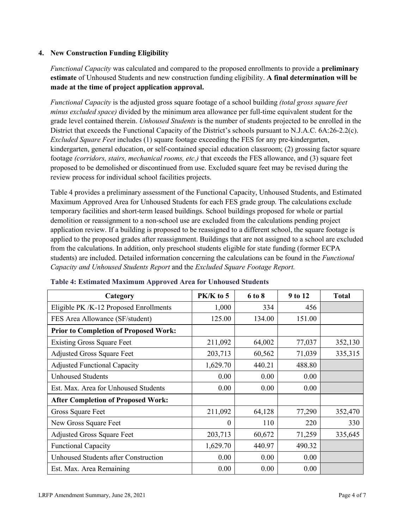#### **4. New Construction Funding Eligibility**

*Functional Capacity* was calculated and compared to the proposed enrollments to provide a **preliminary estimate** of Unhoused Students and new construction funding eligibility. **A final determination will be made at the time of project application approval.**

*Functional Capacity* is the adjusted gross square footage of a school building *(total gross square feet minus excluded space)* divided by the minimum area allowance per full-time equivalent student for the grade level contained therein. *Unhoused Students* is the number of students projected to be enrolled in the District that exceeds the Functional Capacity of the District's schools pursuant to N.J.A.C. 6A:26-2.2(c). *Excluded Square Feet* includes (1) square footage exceeding the FES for any pre-kindergarten, kindergarten, general education, or self-contained special education classroom; (2) grossing factor square footage *(corridors, stairs, mechanical rooms, etc.)* that exceeds the FES allowance, and (3) square feet proposed to be demolished or discontinued from use. Excluded square feet may be revised during the review process for individual school facilities projects.

Table 4 provides a preliminary assessment of the Functional Capacity, Unhoused Students, and Estimated Maximum Approved Area for Unhoused Students for each FES grade group. The calculations exclude temporary facilities and short-term leased buildings. School buildings proposed for whole or partial demolition or reassignment to a non-school use are excluded from the calculations pending project application review. If a building is proposed to be reassigned to a different school, the square footage is applied to the proposed grades after reassignment. Buildings that are not assigned to a school are excluded from the calculations. In addition, only preschool students eligible for state funding (former ECPA students) are included. Detailed information concerning the calculations can be found in the *Functional Capacity and Unhoused Students Report* and the *Excluded Square Footage Report.*

| Category                                     | $PK/K$ to 5 | 6 to 8 | 9 to 12 | <b>Total</b> |
|----------------------------------------------|-------------|--------|---------|--------------|
| Eligible PK /K-12 Proposed Enrollments       | 1,000       | 334    | 456     |              |
| FES Area Allowance (SF/student)              | 125.00      | 134.00 | 151.00  |              |
| <b>Prior to Completion of Proposed Work:</b> |             |        |         |              |
| <b>Existing Gross Square Feet</b>            | 211,092     | 64,002 | 77,037  | 352,130      |
| <b>Adjusted Gross Square Feet</b>            | 203,713     | 60,562 | 71,039  | 335,315      |
| <b>Adjusted Functional Capacity</b>          | 1,629.70    | 440.21 | 488.80  |              |
| <b>Unhoused Students</b>                     | 0.00        | 0.00   | 0.00    |              |
| Est. Max. Area for Unhoused Students         | 0.00        | 0.00   | 0.00    |              |
| <b>After Completion of Proposed Work:</b>    |             |        |         |              |
| Gross Square Feet                            | 211,092     | 64,128 | 77,290  | 352,470      |
| New Gross Square Feet                        | $\theta$    | 110    | 220     | 330          |
| <b>Adjusted Gross Square Feet</b>            | 203,713     | 60,672 | 71,259  | 335,645      |
| <b>Functional Capacity</b>                   | 1,629.70    | 440.97 | 490.32  |              |
| <b>Unhoused Students after Construction</b>  | 0.00        | 0.00   | 0.00    |              |
| Est. Max. Area Remaining                     | 0.00        | 0.00   | 0.00    |              |

#### **Table 4: Estimated Maximum Approved Area for Unhoused Students**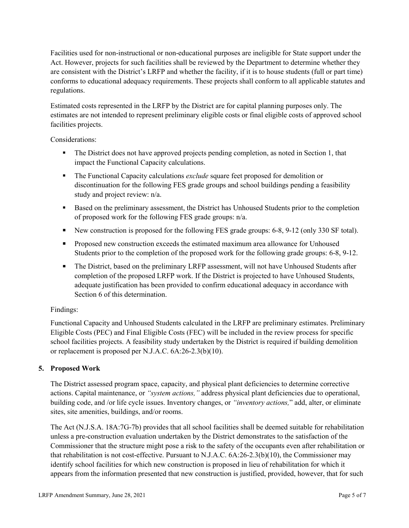Facilities used for non-instructional or non-educational purposes are ineligible for State support under the Act. However, projects for such facilities shall be reviewed by the Department to determine whether they are consistent with the District's LRFP and whether the facility, if it is to house students (full or part time) conforms to educational adequacy requirements. These projects shall conform to all applicable statutes and regulations.

Estimated costs represented in the LRFP by the District are for capital planning purposes only. The estimates are not intended to represent preliminary eligible costs or final eligible costs of approved school facilities projects.

Considerations:

- The District does not have approved projects pending completion, as noted in Section 1, that impact the Functional Capacity calculations.
- **The Functional Capacity calculations** *exclude* square feet proposed for demolition or discontinuation for the following FES grade groups and school buildings pending a feasibility study and project review: n/a.
- Based on the preliminary assessment, the District has Unhoused Students prior to the completion of proposed work for the following FES grade groups: n/a.
- New construction is proposed for the following FES grade groups: 6-8, 9-12 (only 330 SF total).
- Proposed new construction exceeds the estimated maximum area allowance for Unhoused Students prior to the completion of the proposed work for the following grade groups: 6-8, 9-12.
- The District, based on the preliminary LRFP assessment, will not have Unhoused Students after completion of the proposed LRFP work. If the District is projected to have Unhoused Students, adequate justification has been provided to confirm educational adequacy in accordance with Section 6 of this determination.

# Findings:

Functional Capacity and Unhoused Students calculated in the LRFP are preliminary estimates. Preliminary Eligible Costs (PEC) and Final Eligible Costs (FEC) will be included in the review process for specific school facilities projects. A feasibility study undertaken by the District is required if building demolition or replacement is proposed per N.J.A.C. 6A:26-2.3(b)(10).

# **5. Proposed Work**

The District assessed program space, capacity, and physical plant deficiencies to determine corrective actions. Capital maintenance, or *"system actions,"* address physical plant deficiencies due to operational, building code, and /or life cycle issues. Inventory changes, or *"inventory actions,*" add, alter, or eliminate sites, site amenities, buildings, and/or rooms.

The Act (N.J.S.A. 18A:7G-7b) provides that all school facilities shall be deemed suitable for rehabilitation unless a pre-construction evaluation undertaken by the District demonstrates to the satisfaction of the Commissioner that the structure might pose a risk to the safety of the occupants even after rehabilitation or that rehabilitation is not cost-effective. Pursuant to N.J.A.C. 6A:26-2.3(b)(10), the Commissioner may identify school facilities for which new construction is proposed in lieu of rehabilitation for which it appears from the information presented that new construction is justified, provided, however, that for such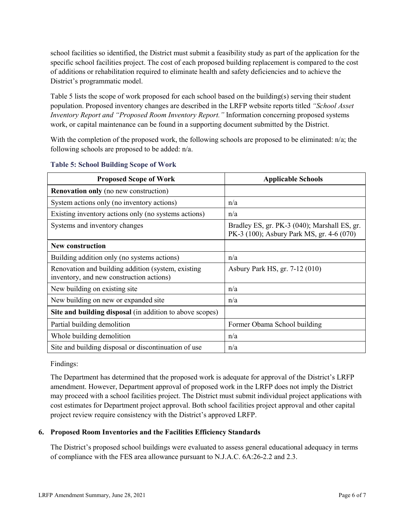school facilities so identified, the District must submit a feasibility study as part of the application for the specific school facilities project. The cost of each proposed building replacement is compared to the cost of additions or rehabilitation required to eliminate health and safety deficiencies and to achieve the District's programmatic model.

Table 5 lists the scope of work proposed for each school based on the building(s) serving their student population. Proposed inventory changes are described in the LRFP website reports titled *"School Asset Inventory Report and "Proposed Room Inventory Report."* Information concerning proposed systems work, or capital maintenance can be found in a supporting document submitted by the District.

With the completion of the proposed work, the following schools are proposed to be eliminated:  $n/a$ ; the following schools are proposed to be added: n/a.

| <b>Proposed Scope of Work</b>                                                                  | <b>Applicable Schools</b>                                                                 |
|------------------------------------------------------------------------------------------------|-------------------------------------------------------------------------------------------|
| <b>Renovation only</b> (no new construction)                                                   |                                                                                           |
| System actions only (no inventory actions)                                                     | n/a                                                                                       |
| Existing inventory actions only (no systems actions)                                           | n/a                                                                                       |
| Systems and inventory changes                                                                  | Bradley ES, gr. PK-3 (040); Marshall ES, gr.<br>PK-3 (100); Asbury Park MS, gr. 4-6 (070) |
| <b>New construction</b>                                                                        |                                                                                           |
| Building addition only (no systems actions)                                                    | n/a                                                                                       |
| Renovation and building addition (system, existing<br>inventory, and new construction actions) | Asbury Park HS, gr. 7-12 (010)                                                            |
| New building on existing site                                                                  | n/a                                                                                       |
| New building on new or expanded site                                                           | n/a                                                                                       |
| Site and building disposal (in addition to above scopes)                                       |                                                                                           |
| Partial building demolition                                                                    | Former Obama School building                                                              |
| Whole building demolition                                                                      | n/a                                                                                       |
| Site and building disposal or discontinuation of use                                           | n/a                                                                                       |

#### **Table 5: School Building Scope of Work**

Findings:

The Department has determined that the proposed work is adequate for approval of the District's LRFP amendment. However, Department approval of proposed work in the LRFP does not imply the District may proceed with a school facilities project. The District must submit individual project applications with cost estimates for Department project approval. Both school facilities project approval and other capital project review require consistency with the District's approved LRFP.

# **6. Proposed Room Inventories and the Facilities Efficiency Standards**

The District's proposed school buildings were evaluated to assess general educational adequacy in terms of compliance with the FES area allowance pursuant to N.J.A.C. 6A:26-2.2 and 2.3.